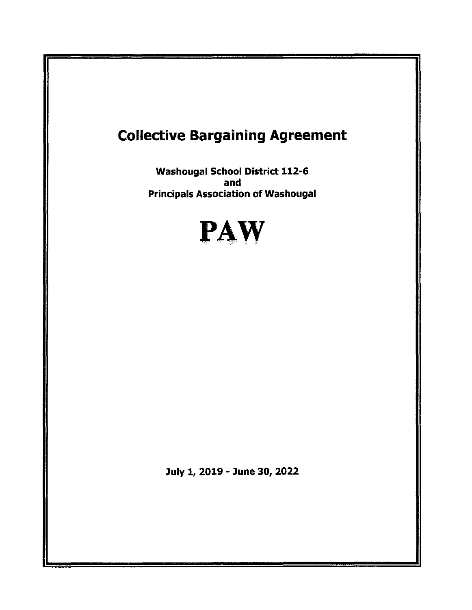# Collective Bargaining Agreement Washougal School District 112-6 and Principals Association of Washougal PAW July 1, 2019 - June 30, 2022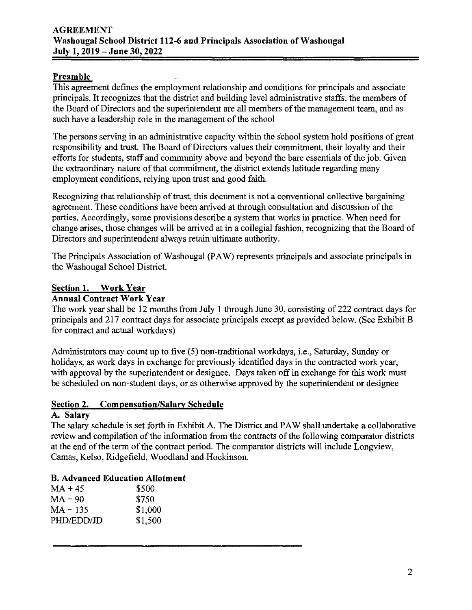# **Preamble**

This agreement defines the employment relationship and conditions for principals and associate principals. It recognizes that the district and building level administrative staffs, the members of the Board of Directors and the superintendent are all members of the management team, and as such have a leadership role in the management of the school

The persons serving in an administrative capacity within the school system hold positions of great responsibility and trust. The Board of Directors values their commitment, their loyalty and their efforts for students, staff and community above and beyond the bare essentials of the job. Given the extraordinary nature of that commitment, the district extends latitude regarding many employment conditions, relying upon trust and good faith.

Recognizing that relationship of trust, this document is not a conventional collective bargaining agreement. These conditions have been arrived at through consultation and discussion of the parties. Accordingly, some provisions describe a system that works in practice. When need for change arises, those changes will be arrived at in a collegial fashion, recognizing that the Board of Directors and superintendent always retain ultimate authority.

The Principals Association of Washougal (PAW) represents principals and associate principals in the Washougal School District.

# **Section 1. Work Year**

#### **Annual Contract Work Year**

The work year shall be 12 months from July 1 through June 30, consisting of222 contract days for principals and 217 contract days for associate principals except as provided below. (See Exhibit B for contract and actual workdays)

Administrators may count up to five (5) non-traditional workdays, i.e., Saturday, Sunday or holidays, as work days in exchange for previously identified days in the contracted work year, with approval by the superintendent or designee. Days taken off in exchange for this work must be scheduled on non-student days, or as otherwise approved by the superintendent or designee

#### **Section 2. Compensation/Salary Schedule**

#### **A. Salary**

The salary schedule is set forth in Exhibit A. The District and PAW shall undertake a collaborative review and compilation of the information from the contracts of the following comparator districts at the end of the term of the contract period. The comparator districts will include Longview, Camas, Kelso, Ridgefield, Woodland and Hockinson.

# **B. Advanced Education Allotment**

| MA + 45    | \$500   |
|------------|---------|
| MA + 90    | \$750   |
| MA + 135   | \$1,000 |
| PHD/EDD/JD | \$1,500 |
|            |         |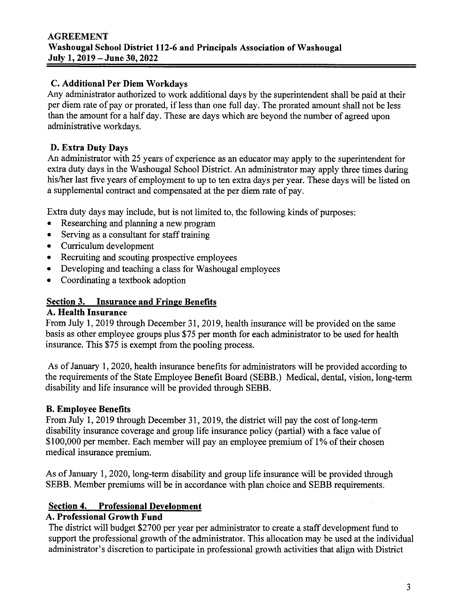#### **AGREEMENT Washougal School District 112-6 and Principals Association of Washougal July 1, 2019- June 30, 2022**

#### **C. Additional Per Diem Workdays**

Any administrator authorized to work additional days by the superintendent shall be paid at their per diem rate of pay or prorated, if less than one full day. The prorated amount shall not be less than the amount for a half day. These are days which are beyond the number of agreed upon administrative workdays.

#### **D. Extra Duty Days**

An administrator with 25 years of experience as an educator may apply to the superintendent for extra duty days in the Washougal School District. An administrator may apply three times during his/her last five years of employment to up to ten extra days per year. These days will be listed on a supplemental contract and compensated at the per diem rate of pay.

Extra duty days may include, but is not limited to, the following kinds of purposes:

- Researching and planning a new program
- Serving as a consultant for staff training
- Curriculum development
- Recruiting and scouting prospective employees
- Developing and teaching a class for Washougal employees
- Coordinating a textbook adoption

# **Section 3. Insurance and Fringe Benefits**

# **A. Health Insurance**

From July 1, 2019 through December 31, 2019, health insurance will be provided on the same basis as other employee groups plus \$75 per month for each administrator to be used for health insurance. This \$75 is exempt from the pooling process.

As of January I, 2020, health insurance benefits for administrators will be provided according to the requirements of the State Employee Benefit Board (SEBB.) Medical, dental, vision, long-term disability and life insurance will be provided through SEBB.

#### **B. Employee Benefits**

From July 1, 2019 through December 31, 2019, the district will pay the cost of long-term disability insurance coverage and group life insurance policy (partial) with a face value of \$100,000 per member. Each member will pay an employee premium of 1% of their chosen medical insurance premium.

As of January 1, 2020, long-term disability and group life insurance will be provided through SEBB. Member premiums will be in accordance with plan choice and SEBB requirements.

#### **Section 4. Professional Development**

#### **A. Professional Growth Fund**

The district will budget \$2700 per year per administrator to create a staff development fund to support the professional growth of the administrator. This allocation may be used at the individual administrator's discretion to participate in professional growth activities that align with District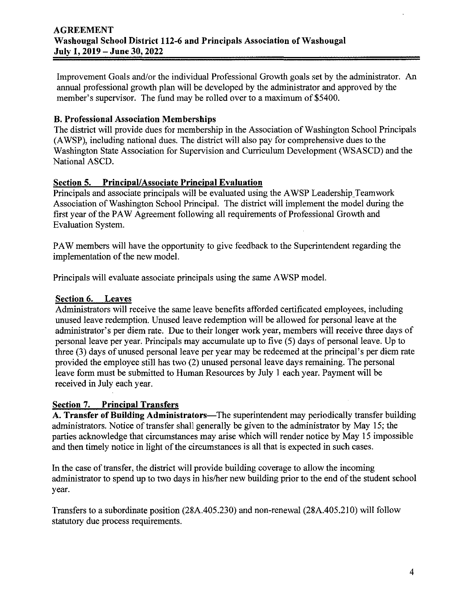Improvement Goals and/or the individual Professional Growth goals set by the administrator. An annual professional growth plan will be developed by the administrator and approved by the member's supervisor. The fund may be rolled over to a maximum of \$5400.

#### **B. Professional Association Memberships**

The district will provide dues for membership in the Association of Washington School Principals (A WSP), including national dues. The district will also pay for comprehensive dues to the Washington State Association for Supervision and Curriculum Development (WSASCD) and the National ASCD.

#### **Section 5. Principal! Associate Principal Evaluation**

Principals and associate principals will be evaluated using the AWSP Leadership Teamwork Association of Washington School Principal. The district will implement the model during the first year of the PAW Agreement following all requirements of Professional Growth and Evaluation System.

PAW members will have the opportunity to give feedback to the Superintendent regarding the implementation of the new model.

Principals will evaluate associate principals using the same A WSP model.

#### **Section 6. Leaves**

Administrators will receive the same leave benefits afforded certificated employees, including unused leave redemption. Unused leave redemption will be allowed for personal leave at the administrator's per diem rate. Due to their longer work year, members will receive three days of personal leave per year. Principals may accumulate up to five (5) days of personal leave. Up to three (3) days of unused personal leave per year may be redeemed at the principal's per diem rate provided the employee still has two (2) unused personal leave days remaining. The personal leave form must be submitted to Human Resources by July 1 each year. Payment will be received in July each year.

#### **Section 7. Principal Transfers**

A. Transfer of Building Administrators—The superintendent may periodically transfer building administrators. Notice of transfer shall generally be given to the administrator by May 15; the parties acknowledge that circumstances may arise which will render notice by May 15 impossible and then timely notice in light of the circumstances is all that is expected in such cases.

In the case of transfer, the district will provide building coverage to allow the incoming administrator to spend up to two days in his/her new building prior to the end of the student school year.

Transfers to a subordinate position (28A.405.230) and non-renewal (28A.405.210) will follow statutory due process requirements.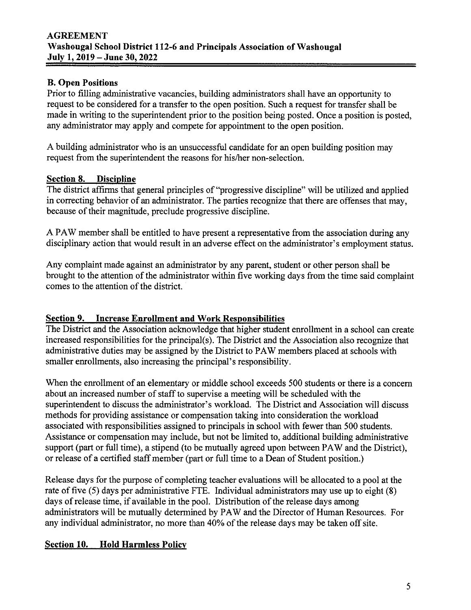# **B. Open Positions**

Prior to filling administrative vacancies, building administrators shall have an opportunity to request to be considered for a transfer to the open position. Such a request for transfer shall be made in writing to the superintendent prior to the position being posted. Once a position is posted, any administrator may apply and compete for appointment to the open position.

A building administrator who is an unsuccessful candidate for an open building position may request from the superintendent the reasons for his/her non-selection.

# **Section 8. Discipline**

The district affirms that general principles of "progressive discipline" will be utilized and applied in correcting behavior of an administrator. The parties recognize that there are offenses that may, because of their magnitude, preclude progressive discipline.

A PAW member shall be entitled to have present a representative from the association during any disciplinary action that would result in an adverse effect on the administrator's employment status.

Any complaint made against an administrator by any parent, student or other person shall be brought to the attention of the administrator within five working days from the time said complaint comes to the attention of the district.

# **Section 9. Increase Enrollment and Work Responsibilities**

The District and the Association acknowledge that higher student emollment in a school can create increased responsibilities for the principal(s). The District and the Association also recognize that administrative duties may be assigned by the District to PAW members placed at schools with smaller emollments, also increasing the principal's responsibility.

When the enrollment of an elementary or middle school exceeds 500 students or there is a concern about an increased number of staff to supervise a meeting will be scheduled with the superintendent to discuss the administrator's workload. The District and Association will discuss methods for providing assistance or compensation taking into consideration the workload associated with responsibilities assigned to principals in school with fewer than 500 students. Assistance or compensation may include, but not be limited to, additional building administrative support (part or full time), a stipend (to be mutually agreed upon between PAW and the District), or release of a certified staff member (part or full time to a Dean of Student position.)

Release days for the purpose of completing teacher evaluations will be allocated to a pool at the rate of five (5) days per administrative FTE. Individual administrators may use up to eight (8) days of release time, if available in the pool. Distribution of the release days among administrators will be mutually determined by PAW and the Director of Human Resources. For any individual administrator, no more than 40% of the release days may be taken off site.

# **Section 10. Hold Harmless Policy**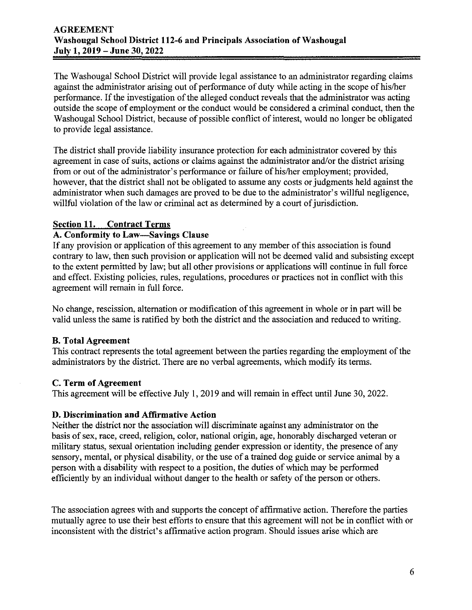The Washougal School District will provide legal assistance to an administrator regarding claims against the administrator arising out of performance of duty while acting in the scope of his/her performance. If the investigation of the alleged conduct reveals that the administrator was acting outside the scope of employment or the conduct would be considered a criminal conduct, then the Washougal School District, because of possible conflict of interest, would no longer be obligated to provide legal assistance.

The district shall provide liability insurance protection for each administrator covered by this agreement in case of suits, actions or claims against the administrator and/or the district arising from or out of the administrator's performance or failure of his/her employment; provided, however, that the district shall not be obligated to assume any costs or judgments held against the administrator when such damages are proved to be due to the administrator's willful negligence, willful violation of the law or criminal act as determined by a court of jurisdiction.

#### **Section 11. Contract Terms**

#### **A. Conformity to Law-Savings Clause**

If any provision or application of this agreement to any member of this association is found contrary to law, then such provision or application will not be deemed valid and subsisting except to the extent permitted by law; but all other provisions or applications will continue in full force and effect. Existing policies, rules, regulations, procedures or practices not in conflict with this agreement will remain in full force.

No change, rescission, alternation or modification of this agreement in whole or in part will be valid unless the same is ratified by both the district and the association and reduced to writing.

#### **B. Total Agreement**

This contract represents the total agreement between the parties regarding the employment of the administrators by the district. There are no verbal agreements, which modify its terms.

#### **C. Term of Agreement**

This agreement will be effective JuJy 1, 2019 and will remain in effect until June 30, 2022.

#### **D. Discrimination and Affirmative Action**

Neither the district nor the association will discriminate against any administrator on the basis of sex, race, creed, religion, color, national origin, age, honorably discharged veteran or military status, sexual orientation including gender expression or identity, the presence of any sensory, mental, or physical disability, or the use of a trained dog guide or service animal by a person with a disability with respect to a position, the duties of which may be performed efficiently by an individual without danger to the health or safety of the person or others.

The association agrees with and supports the concept of affirmative action. Therefore the parties mutually agree to use their best efforts to ensure that this agreement will not be in conflict with or inconsistent with the district's affirmative action program. Should issues arise which are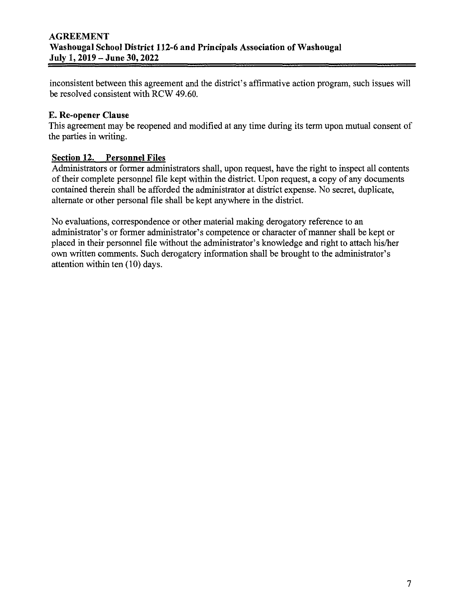inconsistent between this agreement and the district's affirmative action program, such issues will be resolved consistent with RCW 49.60.

# **E. Re-opener Clause**

This agreement may be reopened and modified at any time during its term upon mutual consent of tbe parties in writing.

# **Section 12. Personnel Files**

Administrators or former administrators shall, upon request, have the right to inspect all contents of their complete personnel file kept within the district. Upon request, a copy of any documents contained therein shall be afforded the administrator at district expense. No secret, duplicate, alternate or other personal file shall be kept anywhere in the district.

No evaluations, correspondence or other material making derogatory reference to an administrator's or former administrator's competence or character of manner shall be kept or placed in their personnel file without the administrator's knowledge and right to attach his/her own written comments. Such derogatory information shall be brought to tbe administrator's attention within ten  $(10)$  days.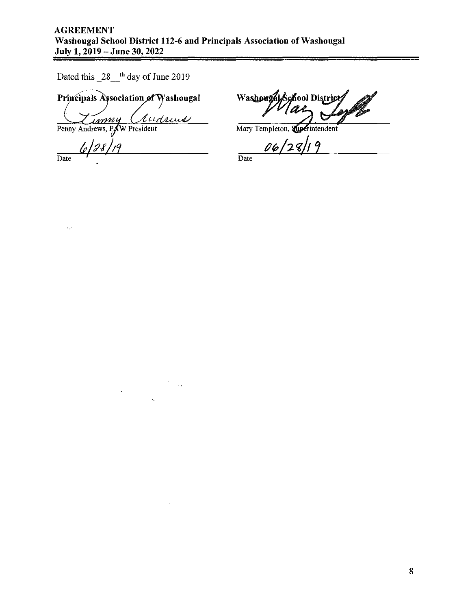Dated this  $28$ <sup>th</sup> day of June 2019

Principals Association of Washougal Audrews

 $\frac{1}{2}$ 

<u>immy</u> Penny Andrews, PAW President

 $\epsilon_{\mu\nu}$ 

 $\frac{6}{\text{Date}}$   $\frac{128}{19}$ 

Washougal School District ₫

Mary Templeton, Superintendent

 $\frac{06}{28}$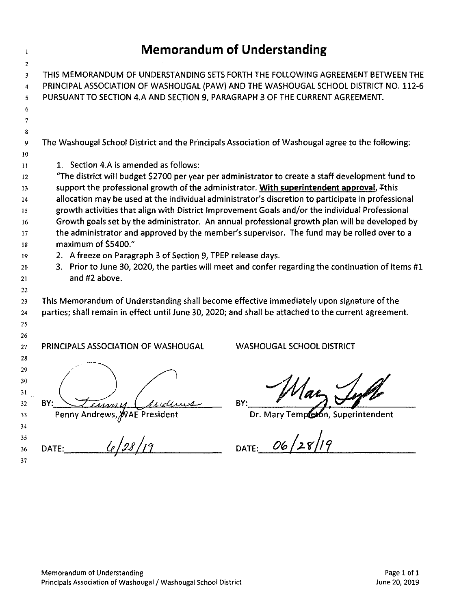$\bar{1}$ 

| 2        |                                                                                                                                                                                               |  |  |  |  |  |  |  |
|----------|-----------------------------------------------------------------------------------------------------------------------------------------------------------------------------------------------|--|--|--|--|--|--|--|
| 3        | THIS MEMORANDUM OF UNDERSTANDING SETS FORTH THE FOLLOWING AGREEMENT BETWEEN THE                                                                                                               |  |  |  |  |  |  |  |
| 4        | PRINCIPAL ASSOCIATION OF WASHOUGAL (PAW) AND THE WASHOUGAL SCHOOL DISTRICT NO. 112-6                                                                                                          |  |  |  |  |  |  |  |
| 5.       | PURSUANT TO SECTION 4.A AND SECTION 9, PARAGRAPH 3 OF THE CURRENT AGREEMENT.                                                                                                                  |  |  |  |  |  |  |  |
| 6        |                                                                                                                                                                                               |  |  |  |  |  |  |  |
| 7        |                                                                                                                                                                                               |  |  |  |  |  |  |  |
| 8        |                                                                                                                                                                                               |  |  |  |  |  |  |  |
| 9        | The Washougal School District and the Principals Association of Washougal agree to the following:                                                                                             |  |  |  |  |  |  |  |
| 10       |                                                                                                                                                                                               |  |  |  |  |  |  |  |
| $_{11}$  | 1. Section 4.A is amended as follows:                                                                                                                                                         |  |  |  |  |  |  |  |
| 12       | "The district will budget \$2700 per year per administrator to create a staff development fund to                                                                                             |  |  |  |  |  |  |  |
| 13       | support the professional growth of the administrator. With superintendent approval, Tthis                                                                                                     |  |  |  |  |  |  |  |
| 14       | allocation may be used at the individual administrator's discretion to participate in professional                                                                                            |  |  |  |  |  |  |  |
| 15       | growth activities that align with District Improvement Goals and/or the individual Professional                                                                                               |  |  |  |  |  |  |  |
| 16<br>17 | Growth goals set by the administrator. An annual professional growth plan will be developed by<br>the administrator and approved by the member's supervisor. The fund may be rolled over to a |  |  |  |  |  |  |  |
| 18       | maximum of \$5400."                                                                                                                                                                           |  |  |  |  |  |  |  |
| 19       | 2. A freeze on Paragraph 3 of Section 9, TPEP release days.                                                                                                                                   |  |  |  |  |  |  |  |
| 20       | 3. Prior to June 30, 2020, the parties will meet and confer regarding the continuation of items #1                                                                                            |  |  |  |  |  |  |  |
| 21       | and #2 above.                                                                                                                                                                                 |  |  |  |  |  |  |  |
| 22       |                                                                                                                                                                                               |  |  |  |  |  |  |  |
| 23       | This Memorandum of Understanding shall become effective immediately upon signature of the                                                                                                     |  |  |  |  |  |  |  |
| 24       | parties; shall remain in effect until June 30, 2020; and shall be attached to the current agreement.                                                                                          |  |  |  |  |  |  |  |
| 25       |                                                                                                                                                                                               |  |  |  |  |  |  |  |
| 26       |                                                                                                                                                                                               |  |  |  |  |  |  |  |
| 27       | PRINCIPALS ASSOCIATION OF WASHOUGAL<br><b>WASHOUGAL SCHOOL DISTRICT</b>                                                                                                                       |  |  |  |  |  |  |  |
| 28       |                                                                                                                                                                                               |  |  |  |  |  |  |  |
| 29       |                                                                                                                                                                                               |  |  |  |  |  |  |  |
| 30       |                                                                                                                                                                                               |  |  |  |  |  |  |  |
| 31       |                                                                                                                                                                                               |  |  |  |  |  |  |  |
| عدد      | <u>e ahaan in</u><br>$\epsilon$ and $\epsilon$                                                                                                                                                |  |  |  |  |  |  |  |
| 33       | Dr. Mary Templeton, Superintendent<br>Penny Andrews, MAE President                                                                                                                            |  |  |  |  |  |  |  |
| 34       |                                                                                                                                                                                               |  |  |  |  |  |  |  |
| 35<br>36 | DATE: $06/28/19$<br>DATE: $\frac{6}{28/19}$                                                                                                                                                   |  |  |  |  |  |  |  |
| 37       |                                                                                                                                                                                               |  |  |  |  |  |  |  |
|          |                                                                                                                                                                                               |  |  |  |  |  |  |  |